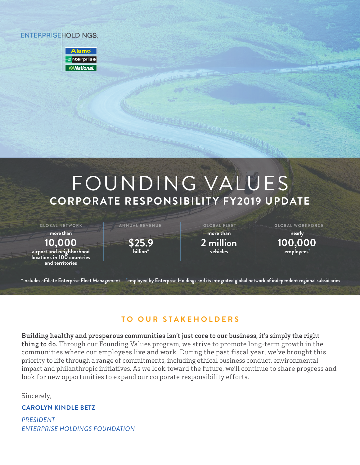## **ENTERPRISEHOLDINGS.**

| <b>Alamo</b>       |
|--------------------|
| enterpr <u>ise</u> |
| $\approx$ National |

# FOUNDING VALUES **CORPORATE RESPONSIBILITY FY2019 UPDATE**

**GLOBAL NETWORK ANNUAL REVENUE GLOBAL FLEET GLOBAL WORKFORCE**

**more than**

**10,000 airport and neighborhood locations in 100 countries and territories**

**\$25.9 billion\***

**more than 2 million vehicles**

**nearly 100,000 employees**

\*includes affiliate Enterprise Fleet Management <sup>t</sup>employed by Enterprise Holdings and its integrated global network of independent regional subsidiaries

## **TO OUR STAKEHOLDERS**

Building healthy and prosperous communities isn't just core to our business, it's simply the right thing to do. Through our Founding Values program, we strive to promote long-term growth in the communities where our employees live and work. During the past fiscal year, we've brought this priority to life through a range of commitments, including ethical business conduct, environmental impact and philanthropic initiatives. As we look toward the future, we'll continue to share progress and look for new opportunities to expand our corporate responsibility efforts.

Sincerely,

#### **CAROLYN KINDLE BETZ**

*PRESIDENT ENTERPRISE HOLDINGS FOUNDATION*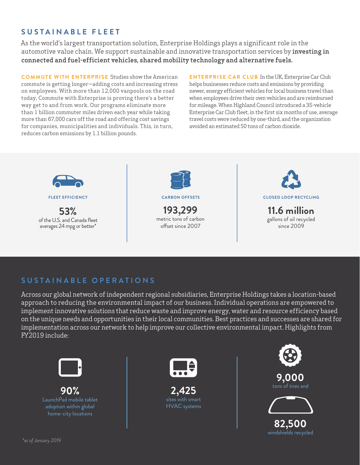## **SUSTAINABLE FLEET**

As the world's largest transportation solution, Enterprise Holdings plays a significant role in the automotive value chain. We support sustainable and innovative transportation services by investing in connected and fuel-efficient vehicles, shared mobility technology and alternative fuels.

**COMMUTE WITH ENTERPRISE** Studies show the American commute is getting longer—adding costs and increasing stress on employees. With more than 12,000 vanpools on the road today, Commute with Enterprise is proving there's a better way get to and from work. Our programs eliminate more than 1 billion commuter miles driven each year while taking more than 67,000 cars off the road and offering cost savings for companies, municipalities and individuals. This, in turn, reduces carbon emissions by 1.1 billion pounds.

**ENTERPRISE CAR CLUB** In the UK, Enterprise Car Club helps businesses reduce costs and emissions by providing newer, energy efficient vehicles for local business travel than when employees drive their own vehicles and are reimbursed for mileage. When Highland Council introduced a 35-vehicle Enterprise Car Club fleet, in the first six months of use, average travel costs were reduced by one-third, and the organization avoided an estimated 50 tons of carbon dioxide.



**FLEET EFFICIENCY**

**53%** of the U.S. and Canada fleet averages 24 mpg or better\*



**193,299** metric tons of carbon

offset since 2007



**CARBON OFFSETS CLOSED LOOP RECYCLING**

**11.6 million** gallons of oil recycled since 2009

### **SUSTAINABLE OPERATIONS**

Across our global network of independent regional subsidiaries, Enterprise Holdings takes a location-based approach to reducing the environmental impact of our business. Individual operations are empowered to implement innovative solutions that reduce waste and improve energy, water and resource efficiency based on the unique needs and opportunities in their local communities. Best practices and successes are shared for implementation across our network to help improve our collective environmental impact. Highlights from FY2019 include:



**90%** LaunchPad mobile tablet adoption within global



**2,425**  with smart



**82,500** windshields recycled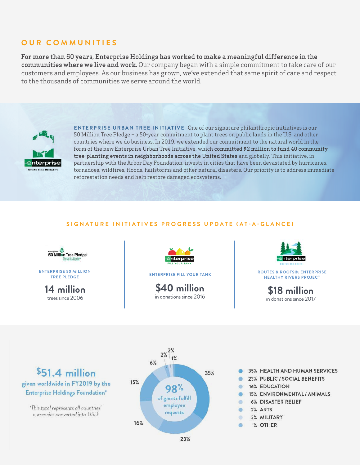#### **OUR COMMUNITIES**

For more than 60 years, Enterprise Holdings has worked to make a meaningful difference in the communities where we live and work. Our company began with a simple commitment to take care of our customers and employees. As our business has grown, we've extended that same spirit of care and respect to the thousands of communities we serve around the world.



**ENTERPRISE URBAN TREE INITIATIVE** One of our signature philanthropic initiatives is our 50 Million Tree Pledge – a 50-year commitment to plant trees on public lands in the U.S. and other countries where we do business. In 2019, we extended our commitment to the natural world in the form of the new Enterprise Urban Tree Initiative, which committed \$2 million to fund 40 community tree-planting events in neighborhoods across the United States and globally. This initiative, in partnership with the Arbor Day Foundation, invests in cities that have been devastated by hurricanes, tornadoes, wildfires, floods, hailstorms and other natural disasters. Our priority is to address immediate reforestation needs and help restore damaged ecosystems.

#### **SIGNATURE INITIATIVES PROGRESS UPDATE (AT-A-GLANCE)**



**ENTERPRISE 50 MILLION TREE PLEDGE**

> **14 million** trees since 2006



**\$40 million** in donations since 2016



**ENTERPRISE FILL YOUR TANK ROUTES & ROOTS®: ENTERPRISE HEALTHY RIVERS PROJECT**

> **\$18 million** in donations since 2017

# \$51.4 million given worldwide in FY2019 by the **Enterprise Holdings Foundation\***

\*This total represents all countries' currencies converted into USD



- 35% HEALTH AND HUMAN SERVICES
- 23% PUBLIC / SOCIAL BENEFITS
- **16% EDUCATION**
- 15% ENVIRONMENTAL / ANIMALS
- 6% DISASTER RELIEF
- 2% ARTS
- 2% MILITARY dh.
- 1% OTHER